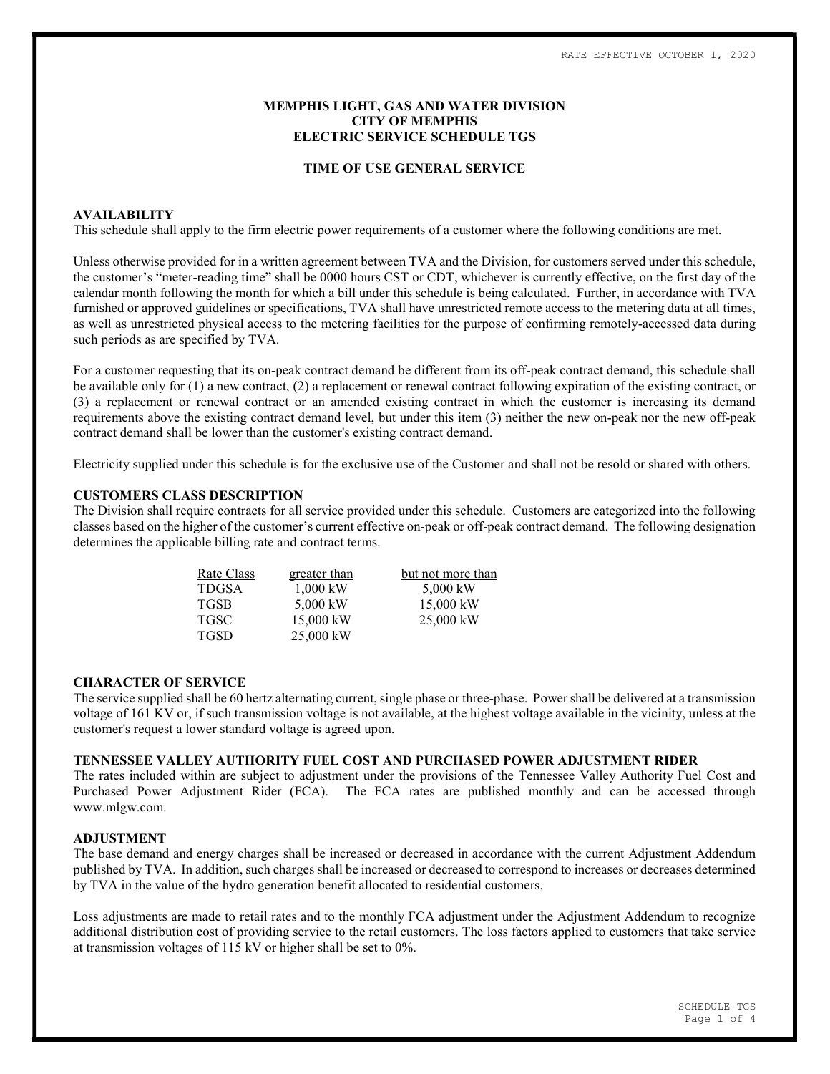# MEMPHIS LIGHT, GAS AND WATER DIVISION CITY OF MEMPHIS ELECTRIC SERVICE SCHEDULE TGS

### TIME OF USE GENERAL SERVICE

# AVAILABILITY

This schedule shall apply to the firm electric power requirements of a customer where the following conditions are met.

Unless otherwise provided for in a written agreement between TVA and the Division, for customers served under this schedule, the customer's "meter-reading time" shall be 0000 hours CST or CDT, whichever is currently effective, on the first day of the calendar month following the month for which a bill under this schedule is being calculated. Further, in accordance with TVA furnished or approved guidelines or specifications, TVA shall have unrestricted remote access to the metering data at all times, as well as unrestricted physical access to the metering facilities for the purpose of confirming remotely-accessed data during such periods as are specified by TVA.

For a customer requesting that its on-peak contract demand be different from its off-peak contract demand, this schedule shall be available only for (1) a new contract, (2) a replacement or renewal contract following expiration of the existing contract, or (3) a replacement or renewal contract or an amended existing contract in which the customer is increasing its demand requirements above the existing contract demand level, but under this item (3) neither the new on-peak nor the new off-peak contract demand shall be lower than the customer's existing contract demand.

Electricity supplied under this schedule is for the exclusive use of the Customer and shall not be resold or shared with others.

# CUSTOMERS CLASS DESCRIPTION

The Division shall require contracts for all service provided under this schedule. Customers are categorized into the following classes based on the higher of the customer's current effective on-peak or off-peak contract demand. The following designation determines the applicable billing rate and contract terms.

| Rate Class   | greater than | but not more than |  |  |  |
|--------------|--------------|-------------------|--|--|--|
| <b>TDGSA</b> | $1.000$ kW   | 5,000 kW          |  |  |  |
| <b>TGSB</b>  | 5,000 kW     | 15,000 kW         |  |  |  |
| <b>TGSC</b>  | 15,000 kW    | 25,000 kW         |  |  |  |
| <b>TGSD</b>  | 25,000 kW    |                   |  |  |  |

#### CHARACTER OF SERVICE

The service supplied shall be 60 hertz alternating current, single phase or three-phase. Power shall be delivered at a transmission voltage of 161 KV or, if such transmission voltage is not available, at the highest voltage available in the vicinity, unless at the customer's request a lower standard voltage is agreed upon.

# TENNESSEE VALLEY AUTHORITY FUEL COST AND PURCHASED POWER ADJUSTMENT RIDER

The rates included within are subject to adjustment under the provisions of the Tennessee Valley Authority Fuel Cost and Purchased Power Adjustment Rider (FCA). The FCA rates are published monthly and can be accessed through www.mlgw.com.

# ADJUSTMENT

The base demand and energy charges shall be increased or decreased in accordance with the current Adjustment Addendum published by TVA. In addition, such charges shall be increased or decreased to correspond to increases or decreases determined by TVA in the value of the hydro generation benefit allocated to residential customers.

Loss adjustments are made to retail rates and to the monthly FCA adjustment under the Adjustment Addendum to recognize additional distribution cost of providing service to the retail customers. The loss factors applied to customers that take service at transmission voltages of 115 kV or higher shall be set to 0%.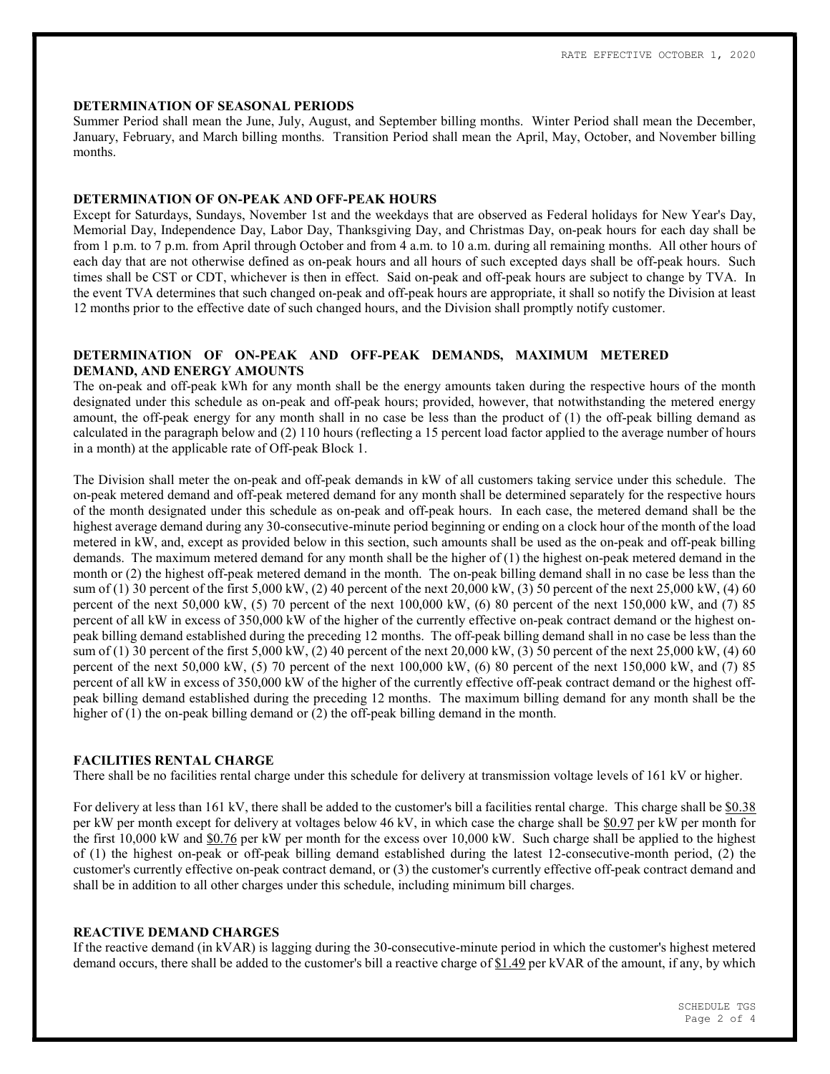### DETERMINATION OF SEASONAL PERIODS

Summer Period shall mean the June, July, August, and September billing months. Winter Period shall mean the December, January, February, and March billing months. Transition Period shall mean the April, May, October, and November billing months.

#### DETERMINATION OF ON-PEAK AND OFF-PEAK HOURS

Except for Saturdays, Sundays, November 1st and the weekdays that are observed as Federal holidays for New Year's Day, Memorial Day, Independence Day, Labor Day, Thanksgiving Day, and Christmas Day, on-peak hours for each day shall be from 1 p.m. to 7 p.m. from April through October and from 4 a.m. to 10 a.m. during all remaining months. All other hours of each day that are not otherwise defined as on-peak hours and all hours of such excepted days shall be off-peak hours. Such times shall be CST or CDT, whichever is then in effect. Said on-peak and off-peak hours are subject to change by TVA. In the event TVA determines that such changed on-peak and off-peak hours are appropriate, it shall so notify the Division at least 12 months prior to the effective date of such changed hours, and the Division shall promptly notify customer.

# DETERMINATION OF ON-PEAK AND OFF-PEAK DEMANDS, MAXIMUM METERED DEMAND, AND ENERGY AMOUNTS

The on-peak and off-peak kWh for any month shall be the energy amounts taken during the respective hours of the month designated under this schedule as on-peak and off-peak hours; provided, however, that notwithstanding the metered energy amount, the off-peak energy for any month shall in no case be less than the product of (1) the off-peak billing demand as calculated in the paragraph below and (2) 110 hours (reflecting a 15 percent load factor applied to the average number of hours in a month) at the applicable rate of Off-peak Block 1.

The Division shall meter the on-peak and off-peak demands in kW of all customers taking service under this schedule. The on-peak metered demand and off-peak metered demand for any month shall be determined separately for the respective hours of the month designated under this schedule as on-peak and off-peak hours. In each case, the metered demand shall be the highest average demand during any 30-consecutive-minute period beginning or ending on a clock hour of the month of the load metered in kW, and, except as provided below in this section, such amounts shall be used as the on-peak and off-peak billing demands. The maximum metered demand for any month shall be the higher of (1) the highest on-peak metered demand in the month or (2) the highest off-peak metered demand in the month. The on-peak billing demand shall in no case be less than the sum of (1) 30 percent of the first 5,000 kW, (2) 40 percent of the next 20,000 kW, (3) 50 percent of the next 25,000 kW, (4) 60 percent of the next 50,000 kW, (5) 70 percent of the next 100,000 kW, (6) 80 percent of the next 150,000 kW, and (7) 85 percent of all kW in excess of 350,000 kW of the higher of the currently effective on-peak contract demand or the highest onpeak billing demand established during the preceding 12 months. The off-peak billing demand shall in no case be less than the sum of (1) 30 percent of the first 5,000 kW, (2) 40 percent of the next 20,000 kW, (3) 50 percent of the next 25,000 kW, (4) 60 percent of the next  $50,000$  kW,  $(5)$  70 percent of the next  $100,000$  kW,  $(6)$  80 percent of the next  $150,000$  kW, and  $(7)$  85 percent of all kW in excess of 350,000 kW of the higher of the currently effective off-peak contract demand or the highest offpeak billing demand established during the preceding 12 months. The maximum billing demand for any month shall be the higher of (1) the on-peak billing demand or (2) the off-peak billing demand in the month.

# FACILITIES RENTAL CHARGE

There shall be no facilities rental charge under this schedule for delivery at transmission voltage levels of 161 kV or higher.

For delivery at less than 161 kV, there shall be added to the customer's bill a facilities rental charge. This charge shall be \$0.38 per kW per month except for delivery at voltages below 46 kV, in which case the charge shall be \$0.97 per kW per month for the first 10,000 kW and \$0.76 per kW per month for the excess over 10,000 kW. Such charge shall be applied to the highest of (1) the highest on-peak or off-peak billing demand established during the latest 12-consecutive-month period, (2) the customer's currently effective on-peak contract demand, or (3) the customer's currently effective off-peak contract demand and shall be in addition to all other charges under this schedule, including minimum bill charges.

# REACTIVE DEMAND CHARGES

If the reactive demand (in kVAR) is lagging during the 30-consecutive-minute period in which the customer's highest metered demand occurs, there shall be added to the customer's bill a reactive charge of \$1.49 per kVAR of the amount, if any, by which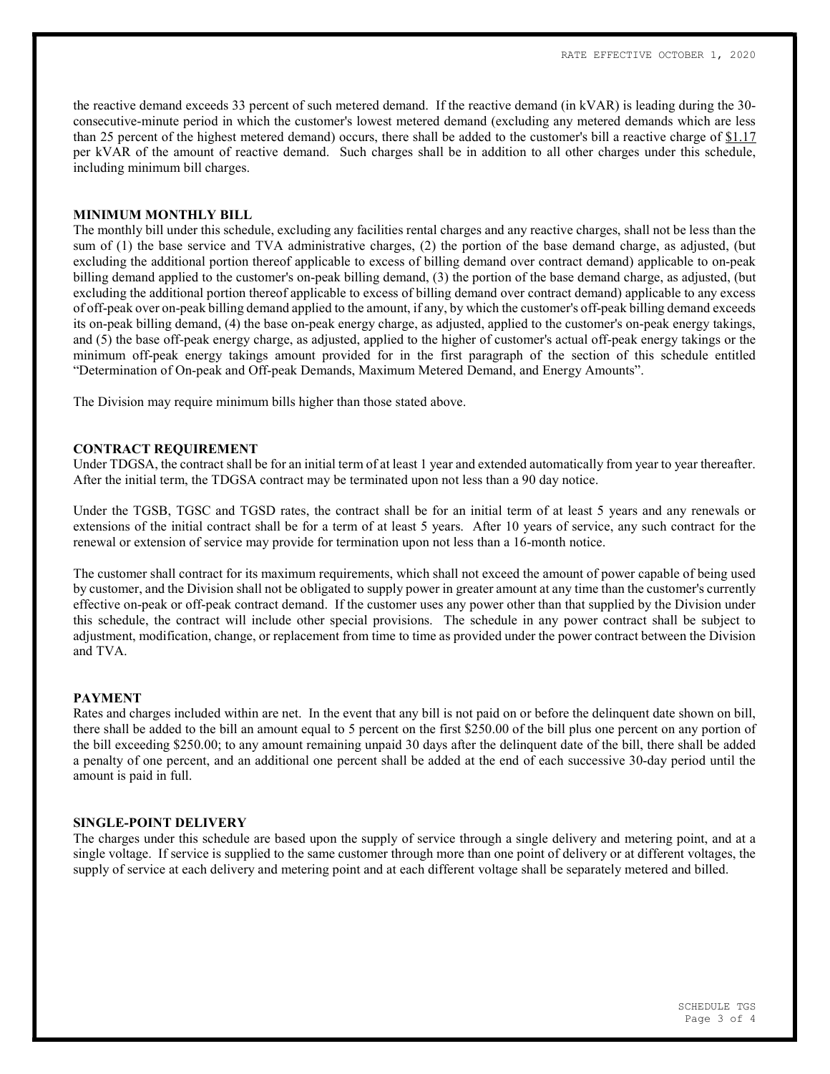the reactive demand exceeds 33 percent of such metered demand. If the reactive demand (in kVAR) is leading during the 30 consecutive-minute period in which the customer's lowest metered demand (excluding any metered demands which are less than 25 percent of the highest metered demand) occurs, there shall be added to the customer's bill a reactive charge of \$1.17 per kVAR of the amount of reactive demand. Such charges shall be in addition to all other charges under this schedule, including minimum bill charges.

# MINIMUM MONTHLY BILL

The monthly bill under this schedule, excluding any facilities rental charges and any reactive charges, shall not be less than the sum of (1) the base service and TVA administrative charges, (2) the portion of the base demand charge, as adjusted, (but excluding the additional portion thereof applicable to excess of billing demand over contract demand) applicable to on-peak billing demand applied to the customer's on-peak billing demand, (3) the portion of the base demand charge, as adjusted, (but excluding the additional portion thereof applicable to excess of billing demand over contract demand) applicable to any excess of off-peak over on-peak billing demand applied to the amount, if any, by which the customer's off-peak billing demand exceeds its on-peak billing demand, (4) the base on-peak energy charge, as adjusted, applied to the customer's on-peak energy takings, and (5) the base off-peak energy charge, as adjusted, applied to the higher of customer's actual off-peak energy takings or the minimum off-peak energy takings amount provided for in the first paragraph of the section of this schedule entitled "Determination of On-peak and Off-peak Demands, Maximum Metered Demand, and Energy Amounts".

The Division may require minimum bills higher than those stated above.

### CONTRACT REQUIREMENT

Under TDGSA, the contract shall be for an initial term of at least 1 year and extended automatically from year to year thereafter. After the initial term, the TDGSA contract may be terminated upon not less than a 90 day notice.

Under the TGSB, TGSC and TGSD rates, the contract shall be for an initial term of at least 5 years and any renewals or extensions of the initial contract shall be for a term of at least 5 years. After 10 years of service, any such contract for the renewal or extension of service may provide for termination upon not less than a 16-month notice.

The customer shall contract for its maximum requirements, which shall not exceed the amount of power capable of being used by customer, and the Division shall not be obligated to supply power in greater amount at any time than the customer's currently effective on-peak or off-peak contract demand. If the customer uses any power other than that supplied by the Division under this schedule, the contract will include other special provisions. The schedule in any power contract shall be subject to adjustment, modification, change, or replacement from time to time as provided under the power contract between the Division and TVA.

#### PAYMENT

Rates and charges included within are net. In the event that any bill is not paid on or before the delinquent date shown on bill, there shall be added to the bill an amount equal to 5 percent on the first \$250.00 of the bill plus one percent on any portion of the bill exceeding \$250.00; to any amount remaining unpaid 30 days after the delinquent date of the bill, there shall be added a penalty of one percent, and an additional one percent shall be added at the end of each successive 30-day period until the amount is paid in full.

#### SINGLE-POINT DELIVERY

The charges under this schedule are based upon the supply of service through a single delivery and metering point, and at a single voltage. If service is supplied to the same customer through more than one point of delivery or at different voltages, the supply of service at each delivery and metering point and at each different voltage shall be separately metered and billed.